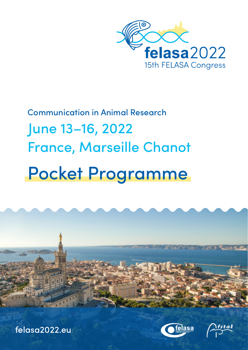

# Communication in Animal Research June 13–16, 2022 France, Marseille Chanot Pocket Programme



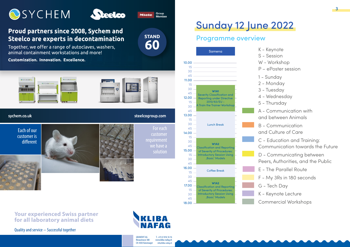



#### Proud partners since 2008, Sychem and **Steelco are experts in decontamination**

Together, we offer a range of autoclaves, washers, animal containment workstations and more!

Customization, Innovation, Excellence.







Miele

**STAND** 

60

Group Member

sychem.co.uk

Each of our customer is different



steelcogroup.com

For each customer we have a **Sunday 12 June 2022** 

#### Programme overview



**Your experienced Swiss partner for all laboratory animal diets**

Quality and service − Successful together



T. +41 61 816 16 16 www.kliba-nafag.ch info@kliba-nafag.ch

GRANOVIT AG Rinaustrasse 380 CH-4303 Kaiseraugst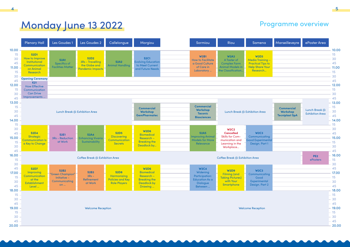# Monday June 13 2022 **Programme overview**

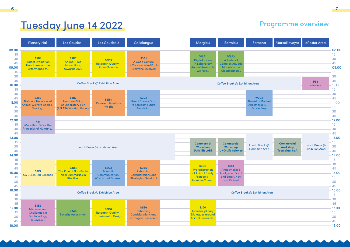## Tuesday June 14 2022 **Programme overview**

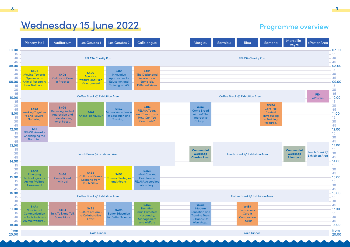## Wednesday 15 June 2022 **Programme overview**

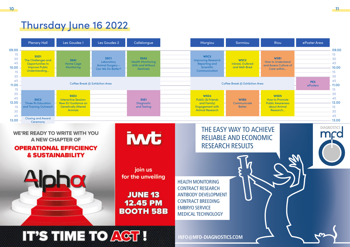## Thursday June 16 2022

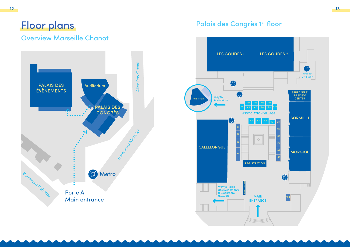### Overview Marseille Chanot



## Palais des Congrès 1st floor

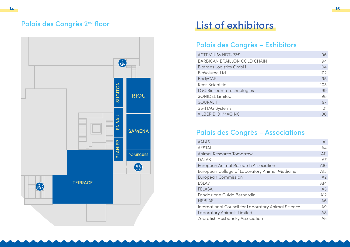### Palais des Congrès 2<sup>nd</sup> floor



## List of exhibitors

#### Palais des Congrès – Exhibitors

| <b>ACTEMIUM NDT-P&amp;S</b>         | 96  |
|-------------------------------------|-----|
| <b>BARBICAN BRAILLON COLD CHAIN</b> | 94  |
| <b>Biotrans Logistics GmbH</b>      | 104 |
| <b>BioVolume Ltd</b>                | 102 |
| <b>BodyCAP</b>                      | 95  |
| Rees Scientific                     | 103 |
| <b>LGC Biosearch Technologies</b>   | 99  |
| <b>SONIDEL Limited</b>              | 98  |
| <b>SOURALIT</b>                     | 97  |
| SwifTAG Systems                     | 101 |
| <b>VILBER BIO IMAGING</b>           | 100 |

#### Palais des Congrès – Associations

| <b>AALAS</b>                                        | A1              |
|-----------------------------------------------------|-----------------|
| <b>AFSTAL</b>                                       | A4              |
| Animal Research Tomorrow                            | A11             |
| <b>DALAS</b>                                        | A7              |
| European Animal Research Association                | A <sub>10</sub> |
| European College of Laboratory Animal Medicine      | A13             |
| <b>European Commission</b>                          | A2              |
| <b>ESLAV</b>                                        | A14             |
| FELASA                                              | A3              |
| Fondazione Guido Bernardini                         | A12             |
| <b>HSBLAS</b>                                       | A6              |
| International Council for Laboratory Animal Science | A9              |
| Laboratory Animals Limited                          | A8              |
| Zebrafish Husbandry Association                     | A <sub>5</sub>  |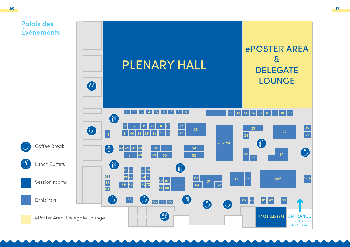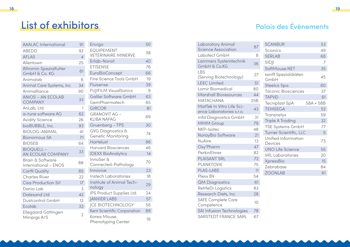## List of exhibitors

| <b>AAALAC</b> International | 91             | Envigo                            | 50 |
|-----------------------------|----------------|-----------------------------------|----|
| <b>ABEDD</b>                | 92             | <b>EQUIPEMENT</b>                 | 38 |
| <b>AFIAS</b>                | $\overline{4}$ | <b>VETERINAIRE MINERVE</b>        |    |
| Allentown                   | 25             | Erlab-Noroit                      | 40 |
| Altromin Spezialfutter      |                | <b>ETISENSE</b>                   | 76 |
| GmbH & Co. KG               | 61             | EuroBioConcept                    | 66 |
| Animalab                    | 6              | Fine Science Tools GmbH           | 19 |
| Animal Care Systems, Inc    | 34             | Fluisense                         | 39 |
| Animalliance                | 90             | <b>FUJIFILM VisualSonics</b>      | 9  |
| ANIOS - AN ECOLAB           | 33             | Galilei Software GmbH             | 63 |
| <b>COMPANY</b>              |                | GemPharmatech                     | 65 |
| AnLab, Ltd.                 | 1              | <b>GIRCOR</b>                     | 81 |
| a-tune software AG          | 62             | <b>GRANOVIT AG -</b>              | 69 |
| <b>Avidity Science</b>      | 26             | <b>KLIBA NAFAG</b>                |    |
| bioBUBBLE, Inc.             | 93             | Gruenberg - TPS                   | 30 |
| <b>BIOLOG-ANIMAL</b>        | 41             | <b>GVG Diagnostics &amp;</b>      | 74 |
| Bionomous SA                | 71             | <b>Genetic Monitoring</b>         |    |
| <b>BIOSEB</b>               | 64             | Hartelust                         | 86 |
| <b>BIOQUELL -</b>           | 33             | Harvard Biosciences               | 46 |
| AN ECOLAB COMPANY           |                | <b>IDEXX BioAnalytics</b>         | 14 |
| Brain & Software            | 88             | InnoSer &                         | 70 |
| International - ENOS        |                | Connected-Pathology               |    |
| Carfil Quality              | 85             | Innovive                          | 23 |
| Charles River               | 22             | Instech Laboratories              | 18 |
| Cisa Production Srl         | 17             | Institute of Animal Tech-         | 29 |
| Danio Lab                   | 3              | nology                            |    |
| Datesand I td               | 42             | IPS Product Supplies Ltd.         | 24 |
| Dustcontrol GmbH            | 12             | <b>JANVIER LABS</b>               | 57 |
| Ecolab                      | 33             | <b>ICE BIOTECHNOLOGY</b>          | 56 |
| Ellegaard Göttingen         | 2              | Kent Scientific Corporation       | 89 |
| Minipigs A/S                |                | Korea Mouse<br>Phenotyping Center | 16 |

| Laboratory Animal                                     | 87  | S        |
|-------------------------------------------------------|-----|----------|
| <b>Science Association</b>                            |     | S        |
| Labotect GmbH                                         | 8   | S        |
| Lammers Systemtechnik<br>GmbH & Co.KG                 | 36  | S        |
|                                                       |     | S        |
| LBS<br>(Serving Biotechnology)                        | 27  | S        |
| <b>LEEC Limited</b>                                   | 51  | C        |
| Lomir Biomedical                                      | 80  | S<br>T   |
| <b>Marshall Bioresources</b>                          | 44  | T        |
| <b>MATACHANA</b>                                      | 25B | Τ        |
| MatTek In Vitro Life Sci-<br>ence Laboratories s.r.o. | 43  | T        |
| mfd Diagnostics GmbH                                  | 31  | Τ        |
| <b>MMM Group</b>                                      | 79  | T        |
| NKP-Isotec                                            | 48  | Τ        |
| NorayBio Software                                     | 21  | T        |
| <b>NuAire</b>                                         | 13  | ι<br>С   |
| Oxy'Pharm                                             | 47  | l        |
| PerkinElmer                                           | 82  | V        |
| <b>PLAISANT SRL</b>                                   | 72  | $\times$ |
| <b>PLANKTOVIE</b>                                     | 75  | Z        |
| <b>PLAS-LABS</b>                                      | 11  | Z        |
| Plexx BV                                              | 54  |          |
| <b>QM Diagnostics</b>                                 | 61  |          |
| ReMeDi Logistics                                      | 83  |          |
| Research Diets, Inc.                                  | 28  |          |
| <b>SAFE Complete Care</b><br>Competence               | 10  |          |
| SAI Infusion Technologies                             | 78  |          |
| SARSTEDT FRANCE SARL                                  | 67  |          |

## Palais des Évènements

| <b>SCANBUR</b>                 | 53          |
|--------------------------------|-------------|
| Scionics                       | 49          |
| <b>SERLAB</b>                  | 68          |
| <b>SIDJI</b>                   | 7           |
| SoftMouse.NET                  | 35          |
| ssniff Spezialdiäten<br>GmbH   | 45          |
| Steelco Spa                    | 60          |
| <b>Taconic Biosciences</b>     | 37          |
| <b>TAPVEI</b>                  | 61          |
| <b>Tecniplast SpA</b>          | $58A + 58B$ |
| <b>TEMSEGA</b>                 | 52          |
| Transnetyx                     | 59          |
| <b>Triple A Trading</b>        | 32          |
| <b>TSE Systems GmbH</b>        | 77          |
| Turner Scientific, LLC         | 5           |
| Unified Information<br>Devices | 73          |
| <b>UNO Life Science</b>        | 55          |
| <b>VRL</b> Laboratories        | 20          |
| <b>XpressBio</b>               | 15          |
| Zebrabase                      | 84          |
| <b>ZOONLAB</b>                 | 61          |